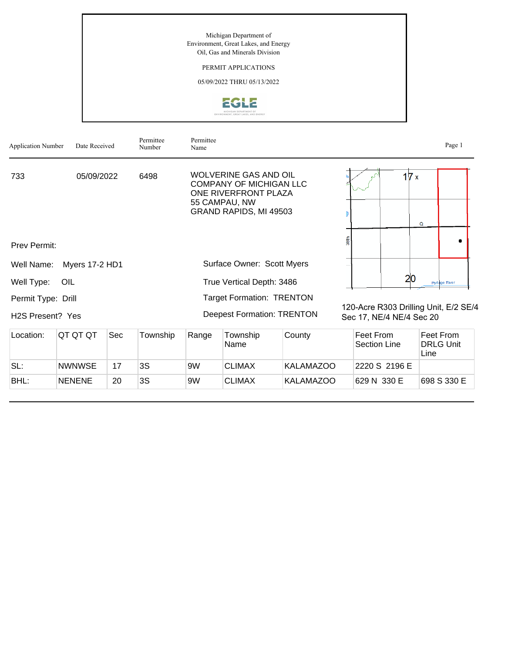Michigan Department of Environment, Great Lakes, and Energy Oil, Gas and Minerals Division

PERMIT APPLICATIONS

05/09/2022 THRU 05/13/2022



| <b>Application Number</b>     | Date Received         |     | Permittee<br>Number | Permittee<br>Name                                                                                                                 |                  |                  |             |                                                                   | Page 1                                |
|-------------------------------|-----------------------|-----|---------------------|-----------------------------------------------------------------------------------------------------------------------------------|------------------|------------------|-------------|-------------------------------------------------------------------|---------------------------------------|
| 733<br>05/09/2022<br>6498     |                       |     |                     | <b>WOLVERINE GAS AND OIL</b><br><b>COMPANY OF MICHIGAN LLC</b><br>ONE RIVERFRONT PLAZA<br>55 CAMPAU, NW<br>GRAND RAPIDS, MI 49503 |                  |                  |             | 17x                                                               | Q                                     |
| Prev Permit:                  |                       |     |                     |                                                                                                                                   |                  |                  | <b>High</b> |                                                                   |                                       |
| Well Name:                    | <b>Myers 17-2 HD1</b> |     |                     | Surface Owner: Scott Myers                                                                                                        |                  |                  |             |                                                                   |                                       |
| Well Type:                    | OIL                   |     |                     | True Vertical Depth: 3486                                                                                                         |                  |                  |             | 20                                                                | Portage River                         |
| Permit Type: Drill            |                       |     |                     | <b>Target Formation: TRENTON</b>                                                                                                  |                  |                  |             |                                                                   |                                       |
| H <sub>2</sub> S Present? Yes |                       |     |                     | <b>Deepest Formation: TRENTON</b>                                                                                                 |                  |                  |             | 120-Acre R303 Drilling Unit, E/2 SE/4<br>Sec 17, NE/4 NE/4 Sec 20 |                                       |
| Location:                     | QT QT QT              | Sec | Township            | Range                                                                                                                             | Township<br>Name | County           |             | Feet From<br><b>Section Line</b>                                  | Feet From<br><b>DRLG Unit</b><br>Line |
| SL:                           | <b>NWNWSE</b>         | 17  | 3S                  | 9W                                                                                                                                | <b>CLIMAX</b>    | <b>KALAMAZOO</b> |             | 2220 S 2196 E                                                     |                                       |
| BHL:                          | <b>NENENE</b>         | 20  | 3S                  | 9W                                                                                                                                | <b>CLIMAX</b>    | <b>KALAMAZOO</b> |             | 629 N 330 E                                                       | 698 S 330 E                           |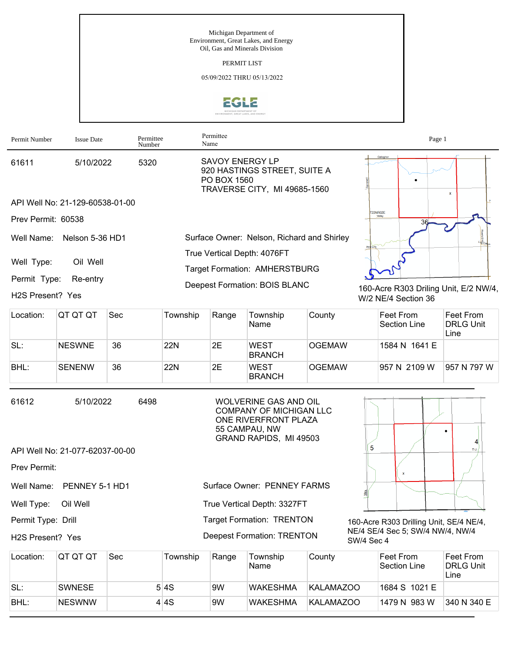Michigan Department of Environment, Great Lakes, and Energy Oil, Gas and Minerals Division PERMIT LIST 05/09/2022 THRU 05/13/2022 **EGLE** Permittee Permit Number Issue Date Permittee

| Permit Number      | <b>Issue Date</b>               | Permittee<br>Number | Permittee<br>Name                                                                                     | Page 1                                |
|--------------------|---------------------------------|---------------------|-------------------------------------------------------------------------------------------------------|---------------------------------------|
| 61611              | 5/10/2022                       | 5320                | <b>SAVOY ENERGY LP</b><br>920 HASTINGS STREET, SUITE A<br>PO BOX 1560<br>TRAVERSE CITY, MI 49685-1560 | Gallagher<br>$\mathbf{x}$             |
|                    | API Well No: 21-129-60538-01-00 |                     |                                                                                                       |                                       |
| Prev Permit: 60538 |                                 |                     |                                                                                                       | <b>T22NR02E</b>                       |
| Well Name:         | Nelson 5-36 HD1                 |                     | Surface Owner: Nelson, Richard and Shirley                                                            | Log                                   |
|                    | Oil Well                        |                     | True Vertical Depth: 4076FT                                                                           |                                       |
| Well Type:         |                                 |                     | <b>Target Formation: AMHERSTBURG</b>                                                                  |                                       |
| Permit Type:       | Re-entry                        |                     | Deepest Formation: BOIS BLANC                                                                         | 160-Acre R303 Driling Unit, E/2 NW/4, |
| H2S Present? Yes   |                                 |                     |                                                                                                       | W/2 NE/4 Section 36                   |

| Location: | IQT QT QT     | Sec | Township | Range | Township<br>Name             | County        | Feet From<br>Section Line | Feet From<br><b>DRLG Unit</b><br>Line |
|-----------|---------------|-----|----------|-------|------------------------------|---------------|---------------------------|---------------------------------------|
| SL:       | <b>NESWNE</b> | 36  | 22N      | 2E    | <b>WEST</b><br><b>BRANCH</b> | <b>OGEMAW</b> | 1584 N 1641 E             |                                       |
| BHL:      | <b>SENENW</b> | 36  | 22N      | 2E    | <b>WEST</b><br><b>BRANCH</b> | <b>OGEMAW</b> | 957 N 2109 W              | 957 N 797 W                           |

| 61612                         | 5/10/2022                       | 6498        | <b>WOLVERINE GAS AND OIL</b><br><b>COMPANY OF MICHIGAN LLC</b><br>ONE RIVERFRONT PLAZA<br>55 CAMPAU, NW<br>GRAND RAPIDS, MI 49503 |                                                |  |  |  |
|-------------------------------|---------------------------------|-------------|-----------------------------------------------------------------------------------------------------------------------------------|------------------------------------------------|--|--|--|
|                               | API Well No: 21-077-62037-00-00 | 5<br>- TU / |                                                                                                                                   |                                                |  |  |  |
| Prev Permit:                  |                                 |             |                                                                                                                                   |                                                |  |  |  |
|                               | Well Name: PENNEY 5-1 HD1       |             | Surface Owner: PENNEY FARMS                                                                                                       |                                                |  |  |  |
| Well Type:                    | Oil Well                        |             | True Vertical Depth: 3327FT                                                                                                       |                                                |  |  |  |
| Permit Type: Drill            |                                 |             | <b>Target Formation: TRENTON</b>                                                                                                  | 160-Acre R303 Drilling Unit, SE/4 NE/4,        |  |  |  |
| H <sub>2</sub> S Present? Yes |                                 |             | <b>Deepest Formation: TRENTON</b>                                                                                                 | NE/4 SE/4 Sec 5; SW/4 NW/4, NW/4<br>SW/4 Sec 4 |  |  |  |

| Location: | IQT QT QT     | Sec | Township | Range | Township<br>Name | County    | ∣Feet From<br>Section Line | Feet From<br><b>IDRLG Unit</b><br>Line |
|-----------|---------------|-----|----------|-------|------------------|-----------|----------------------------|----------------------------------------|
| SL:       | <b>SWNESE</b> |     | 5 4S     | 9W    | <b>WAKESHMA</b>  | KALAMAZOO | 1684 S 1021 E              |                                        |
| BHL:      | <b>NESWNW</b> |     | 4 4S     | 9W    | <b>WAKESHMA</b>  | KALAMAZOO | 1479 N 983 W               | 1340 N 340 E                           |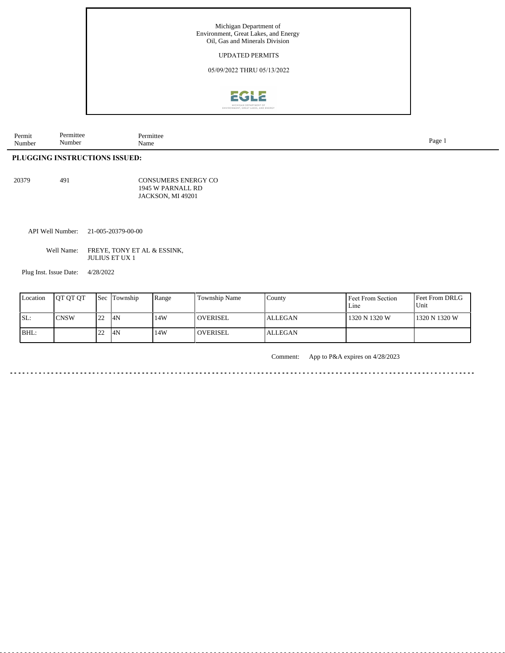

| Permit<br>$\mathbf{r}$<br>Number | mittee<br>10x<br>. .<br>Number | a mittee .<br>Name | Page |
|----------------------------------|--------------------------------|--------------------|------|
|----------------------------------|--------------------------------|--------------------|------|

## **PLUGGING INSTRUCTIONS ISSUED:**

20379 491

CONSUMERS ENERGY CO 1945 W PARNALL RD JACKSON, MI 49201

API Well Number: 21-005-20379-00-00

Well Name: FREYE, TONY ET AL & ESSINK, JULIUS ET UX 1

Plug Inst. Issue Date: 4/28/2022

| Location | <b>IOT OT OT</b> |                  | <b>Sec Township</b> | Range | Township Name   | County         | Feet From Section<br>Line | <b>Feet From DRLG</b><br>Unit |
|----------|------------------|------------------|---------------------|-------|-----------------|----------------|---------------------------|-------------------------------|
| ISL:     | <b>CNSW</b>      | $\overline{122}$ | 4N                  | 14W   | <b>OVERISEL</b> | <b>ALLEGAN</b> | 1320 N 1320 W             | 1320 N 1320 W                 |
| BHL:     |                  |                  | 4N                  | 14W   | <b>OVERISEL</b> | <b>ALLEGAN</b> |                           |                               |

. . . . . . . . . . . . . . . . . .

Comment: App to P&A expires on 4/28/2023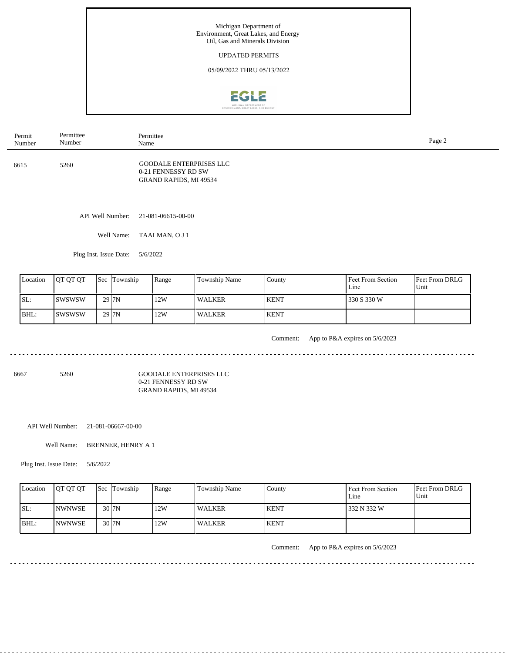

| Permit<br>Number | Permittee<br>Number | Permittee<br>Name                                                               | Page 2 |  |
|------------------|---------------------|---------------------------------------------------------------------------------|--------|--|
| 6615             | 5260                | <b>GOODALE ENTERPRISES LLC</b><br>0-21 FENNESSY RD SW<br>GRAND RAPIDS, MI 49534 |        |  |
|                  | API Well Number:    | 21-081-06615-00-00                                                              |        |  |
|                  | Well Name:          | TAALMAN, O J 1                                                                  |        |  |

Plug Inst. Issue Date: 5/6/2022

| Location | <b>OT OT OT</b> | <b>Sec</b> Township | Range | Township Name | County       | Feet From Section<br>Line | Feet From DRLG<br>Unit |
|----------|-----------------|---------------------|-------|---------------|--------------|---------------------------|------------------------|
| ISL:     | Iswswsw         | 29 <sub>J7N</sub>   | 12W   | l WALKER      | <b>KENT</b>  | 330 S 330 W               |                        |
| BHL:     | Iswswsw         | $29$ $7N$           | 12W   | <b>WALKER</b> | <b>IKENT</b> |                           |                        |

<u>. . . . . . . . . . .</u>

Comment: App to P&A expires on 5/6/2023

6667 5260

GOODALE ENTERPRISES LLC 0-21 FENNESSY RD SW GRAND RAPIDS, MI 49534

API Well Number: 21-081-06667-00-00

Well Name: BRENNER, HENRY A 1

Plug Inst. Issue Date: 5/6/2022

| Location | <b>IOT OT OT</b> | <b>Sec</b> Township          | Range | <b>Township Name</b> | Countv      | Feet From Section<br>Line | <b>Feet From DRLG</b><br>Unit |
|----------|------------------|------------------------------|-------|----------------------|-------------|---------------------------|-------------------------------|
| ISL:     | <b>INWNWSE</b>   | $30$ <sub>J</sub> $\gamma$ N | 12W   | <b>WALKER</b>        | <b>KENT</b> | 332 N 332 W               |                               |
| BHL:     | <b>NWNWSE</b>    | $30$ <sub>J</sub> $\gamma$ N | 12W   | <b>WALKER</b>        | <b>KENT</b> |                           |                               |

 $- - - - - -$ 

Comment: App to P&A expires on 5/6/2023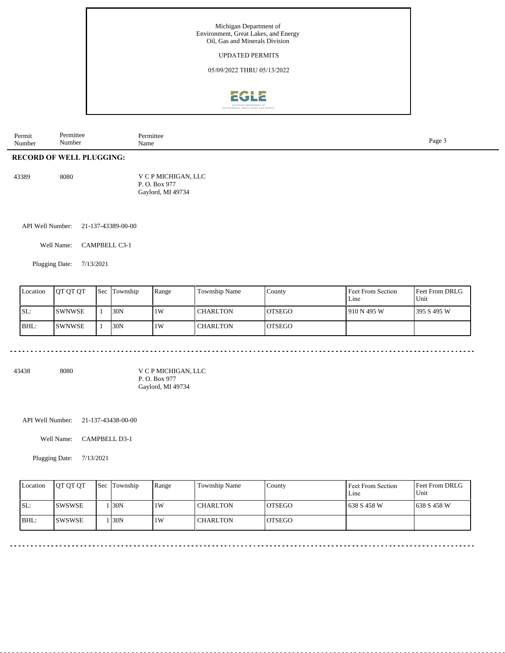

| Permit<br>$\sim$ $\sim$<br>Number | mıttee<br>Jos<br>Number | `~rmittee<br>.<br>Name | Page |
|-----------------------------------|-------------------------|------------------------|------|
|-----------------------------------|-------------------------|------------------------|------|

## **RECORD OF WELL PLUGGING:**

| 43389 | 8080 | V C P MICHIGAN, LLC |
|-------|------|---------------------|
|       |      | P. O. Box 977       |
|       |      | Gaylord, MI 49734   |

API Well Number: 21-137-43389-00-00

Well Name: CAMPBELL C3-1

Plugging Date: 7/13/2021

| Location | <b>IOT OT OT</b> | 'Sec | Township | Range | <b>Township Name</b> | l County       | Feet From Section<br>Line | <b>Feet From DRLG</b><br>Unit |
|----------|------------------|------|----------|-------|----------------------|----------------|---------------------------|-------------------------------|
| SL:      | ISWNWSE          |      | 30N      | 1W    | l CHARLTON           | <b>IOTSEGO</b> | 910 N 495 W               | 1395 S 495 W                  |
| BHL:     | ISWNWSE          |      | 130N     | 1W    | l CHARLTON           | <b>IOTSEGO</b> |                           |                               |

<u>. . . . . . . . . . . . . . . . . .</u>

43438 8080

V C P MICHIGAN, LLC P. O. Box 977 Gaylord, MI 49734

API Well Number: 21-137-43438-00-00

Well Name: CAMPBELL D3-1

Plugging Date: 7/13/2021

|      | Location | <b>OT QT QT</b> | <b>Sec</b> Township | Range | <b>Township Name</b> | County         | <b>Feet From Section</b><br>Line | <b>Feet From DRLG</b><br>Unit |
|------|----------|-----------------|---------------------|-------|----------------------|----------------|----------------------------------|-------------------------------|
| SL:  |          | <b>ISWSWSE</b>  | 130N                | 1 W   | <b>CHARLTON</b>      | <b>IOTSEGO</b> | 1638 S 458 W                     | 1638 S 458 W                  |
| BHL: |          | ISWSWSE         | 130N                | 1 W   | <b>CHARLTON</b>      | <b>IOTSEGO</b> |                                  |                               |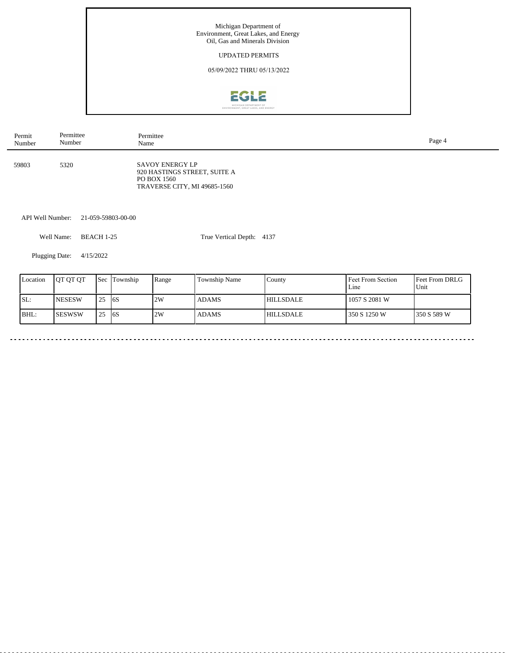

| Permit | Permittee | Permittee                                                                                      | Page 4 |
|--------|-----------|------------------------------------------------------------------------------------------------|--------|
| Number | Number    | Name                                                                                           |        |
| 59803  | 5320      | SAVOY ENERGY LP<br>920 HASTINGS STREET, SUITE A<br>PO BOX 1560<br>TRAVERSE CITY, MI 49685-1560 |        |

API Well Number: 21-059-59803-00-00

Well Name: BEACH 1-25

True Vertical Depth: 4137

Plugging Date: 4/15/2022

ц.

| Location | <b>JOT OT OT</b> | <b>Sec</b> | Township   | Range | Township Name | County           | Feet From Section<br>Line | <b>Feet From DRLG</b><br>Unit |
|----------|------------------|------------|------------|-------|---------------|------------------|---------------------------|-------------------------------|
| ISL:     | <b>INESESW</b>   | 25         | <b>16S</b> | 2W    | <b>ADAMS</b>  | <b>HILLSDALE</b> | 1057 S 2081 W             |                               |
| BHL:     | ISESWSW          | 25         | 16S        | 2W    | <b>ADAMS</b>  | <b>HILLSDALE</b> | 350 S 1250 W              | 1350 S 589 W                  |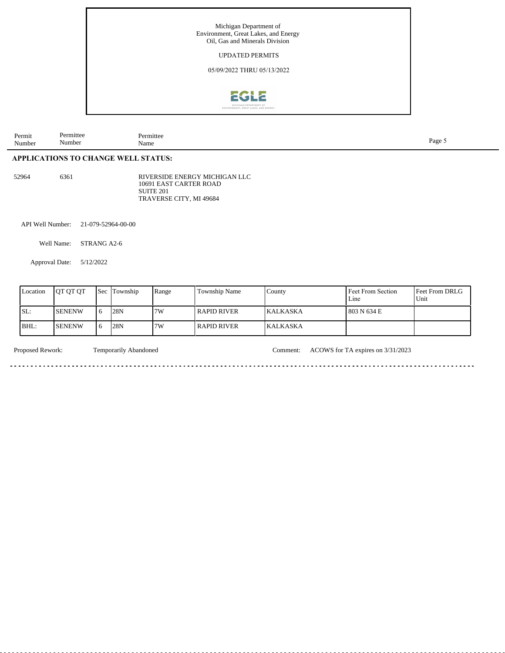

| Permit<br>Number | mitte<br>$\cdot$ $\cdot$<br>sumber | rmitter<br>Name<br>$\qquad \qquad \cdots \qquad \qquad$ | Page |
|------------------|------------------------------------|---------------------------------------------------------|------|
|                  |                                    |                                                         |      |

## **APPLICATIONS TO CHANGE WELL STATUS:**

52964 6361

RIVERSIDE ENERGY MICHIGAN LLC 10691 EAST CARTER ROAD SUITE 201 TRAVERSE CITY, MI 49684

API Well Number: 21-079-52964-00-00

Well Name: STRANG A2-6

Approval Date: 5/12/2022

| Location | <b>OT OT OT</b> | Sec        | Township | Range | <b>Township Name</b> | County          | Feet From Section<br>Line | Feet From DRLG<br>Unit |
|----------|-----------------|------------|----------|-------|----------------------|-----------------|---------------------------|------------------------|
| ISL:     | <b>ISENENW</b>  | $\epsilon$ | 128N     | 7W    | l RAPID RIVER-       | <b>KALKASKA</b> | 803 N 634 E               |                        |
| IBHL:    | <b>ISENENW</b>  |            | 128N     | 7W    | l RAPID RIVER-       | <b>KALKASKA</b> |                           |                        |

. . . . . . . . . . . . . . . . . . .

Proposed Rework: Temporarily Abandoned Comment: ACOWS for TA expires on 3/31/2023